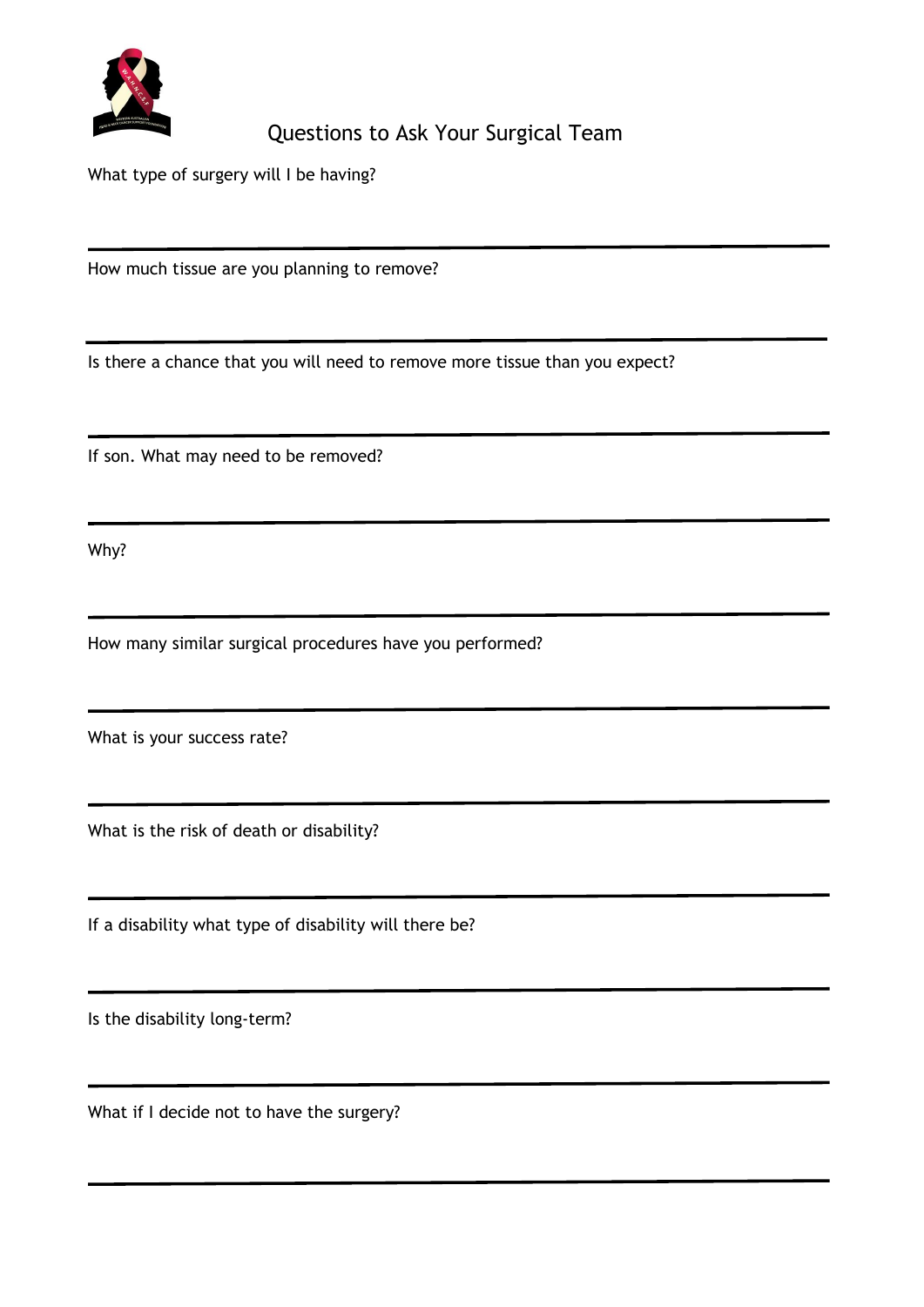

## Questions to Ask Your Surgical Team

What type of surgery will I be having?

How much tissue are you planning to remove?

Is there a chance that you will need to remove more tissue than you expect?

If son. What may need to be removed?

Why?

How many similar surgical procedures have you performed?

What is your success rate?

What is the risk of death or disability?

If a disability what type of disability will there be?

Is the disability long-term?

What if I decide not to have the surgery?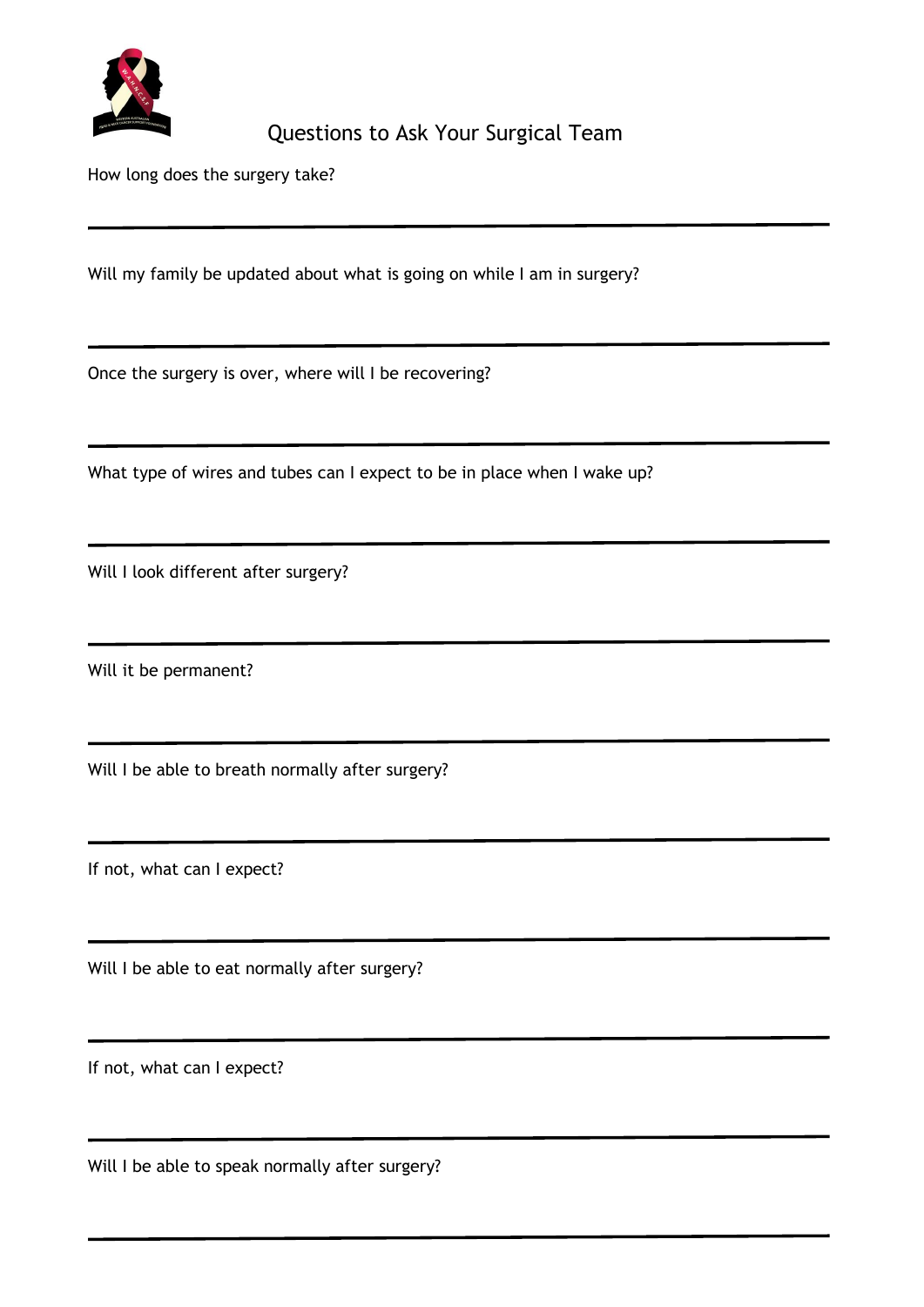

## Questions to Ask Your Surgical Team

How long does the surgery take?

Will my family be updated about what is going on while I am in surgery?

Once the surgery is over, where will I be recovering?

What type of wires and tubes can I expect to be in place when I wake up?

Will I look different after surgery?

Will it be permanent?

Will I be able to breath normally after surgery?

If not, what can I expect?

Will I be able to eat normally after surgery?

If not, what can I expect?

Will I be able to speak normally after surgery?